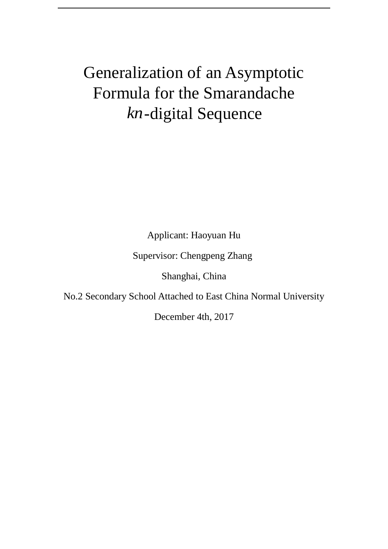# Generalization of an Asymptotic Formula for the Smarandache *kn* -digital Sequence

Applicant: Haoyuan Hu

Supervisor: Chengpeng Zhang

Shanghai, China

No.2 Secondary School Attached to East China Normal University

December 4th, 2017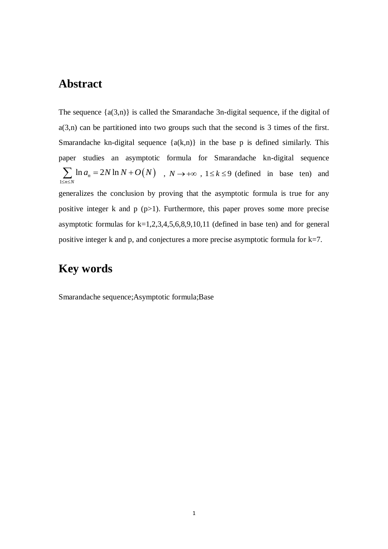### <span id="page-1-0"></span>**Abstract**

The sequence  $\{a(3,n)\}\$ is called the Smarandache 3n-digital sequence, if the digital of  $a(3,n)$  can be partitioned into two groups such that the second is 3 times of the first. Smarandache kn-digital sequence  ${a(k,n)}$  in the base p is defined similarly. This paper studies an asymptotic formula for Smarandache kn-digital sequence  $(N)$ 1  $\sum_{n \leq N} \ln a_n = 2N \ln \frac{1}{2}$  $a_n = 2N \ln N + O(N)$  $\sum_{\leq n \leq N}$  $\sum$  ln  $a_n = 2N \ln N + O(N)$ ,  $N \rightarrow +\infty$ ,  $1 \le k \le 9$  (defined in base ten) and generalizes the conclusion by proving that the asymptotic formula is true for any positive integer k and  $p (p>1)$ . Furthermore, this paper proves some more precise asymptotic formulas for  $k=1,2,3,4,5,6,8,9,10,11$  (defined in base ten) and for general positive integer k and p, and conjectures a more precise asymptotic formula for k=7.

### <span id="page-1-1"></span>**Key words**

Smarandache sequence;Asymptotic formula;Base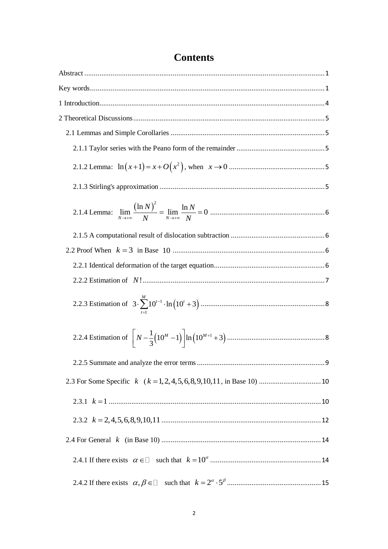## **Contents**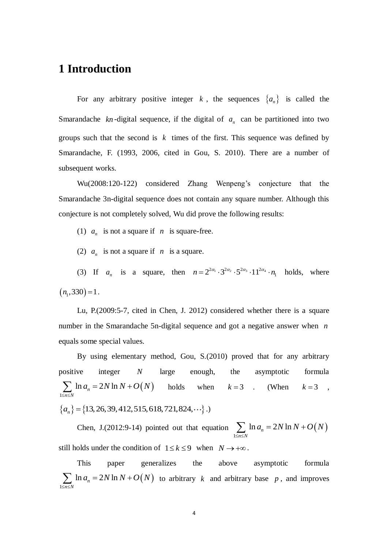### <span id="page-4-0"></span>**1 Introduction**

For any arbitrary positive integer  $k$ , the sequences  $\{a_n\}$  is called the Smarandache  $kn$ -digital sequence, if the digital of  $a_n$  can be partitioned into two groups such that the second is  $k$  times of the first. This sequence was defined by Smarandache, F. (1993, 2006, cited in Gou, S. 2010). There are a number of subsequent works.

Wu(2008:120-122) considered Zhang Wenpeng's conjecture that the Smarandache 3n-digital sequence does not contain any square number. Although this conjecture is not completely solved, Wu did prove the following results:

- (1)  $a_n$  is not a square if  $n$  is square-free.
- (2)  $a_n$  is not a square if  $n$  is a square.

(3) If  $a_n$  is a square, then  $n = 2^{2\alpha_1} \cdot 3^{2\alpha_2} \cdot 5^{2\alpha_3} \cdot 11^{2\alpha_4} \cdot n_1$  holds, where  $(n_1, 330) = 1$ .

Lu, P.(2009:5-7, cited in Chen, J. 2012) considered whether there is a square number in the Smarandache 5n-digital sequence and got a negative answer when *n* equals some special values.

By using elementary method, Gou, S.(2010) proved that for any arbitrary positive integer *N* large enough, the asymptotic formula  $(N)$ 1  $\sum_{n \leq N} \ln a_n = 2N \ln \frac{1}{2}$  $a_n = 2N \ln N + O(N)$  $\sum_{\leq n \leq N}$  $\sum \ln a_n = 2N \ln N + O(N)$  holds when  $k=3$  . (When  $k = 3$ ,  ${a_n} = {13,26,39,412,515,618,721,824,...}$ 

Chen, J.(2012:9-14) pointed out that equation  $\sum \ln a_n = 2N \ln N + O(N)$ 1  $\sum_{n \leq N} \ln a_n = 2N \ln \frac{1}{2}$  $a_n = 2N \ln N + O(N)$  $\sum_{n \leq N}$  $\sum \ln a_n = 2N \ln N + O\left($ still holds under the condition of  $1 \le k \le 9$  when  $N \to +\infty$ .

This paper generalizes the above asymptotic formula  $(N)$ 1  $\sum_{n \leq N} \ln a_n = 2N \ln \frac{1}{2}$  $a_n = 2N \ln N + O(N)$  $\sum_{\leq n \leq N}$  $\sum \ln a_n = 2N \ln N + O(N)$  to arbitrary k and arbitrary base p, and improves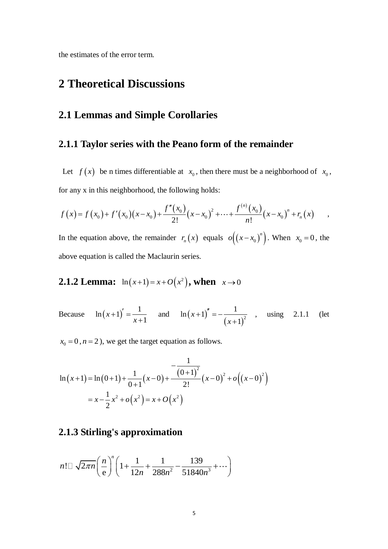<span id="page-5-0"></span>the estimates of the error term.

### **2 Theoretical Discussions**

#### <span id="page-5-1"></span>**2.1 Lemmas and Simple Corollaries**

#### <span id="page-5-2"></span>**2.1.1 Taylor series with the Peano form of the remainder**

Let  $f(x)$  be n times differentiable at  $x_0$ , then there must be a neighborhood of  $x_0$ , for any x in this neighborhood, the following holds:  $f^{(n)}(x)$ 

for any x in this neighborhood, the following holds:  
\n
$$
f(x) = f(x_0) + f'(x_0)(x - x_0) + \frac{f''(x_0)}{2!}(x - x_0)^2 + \dots + \frac{f^{(n)}(x_0)}{n!}(x - x_0)^n + r_n(x) \quad ,
$$

In the equation above, the remainder  $r_n(x)$  equals  $o((x-x_0)^n)$ . When  $x_0 = 0$ , the above equation is called the Maclaurin series.

<span id="page-5-3"></span>**2.1.2 Lemma:** 
$$
\ln(x+1) = x + O(x^2)
$$
, when  $x \to 0$ 

Because  $ln(x+1)$  $\ln(x+1) = \frac{1}{1}$ 1  $+1)' = ^{+}$ *x x* and  $\ln(x+1)$  $(x+1)^2$  $\ln(x+1)'' = -\frac{1}{x+1}$ 1  $+1)^{''} = -\frac{1}{x}$  $^{+}$ *x x* , using 2.1.1 (let

 $x_0 = 0, n = 2$ , we get the target equation as follows.

$$
\ln(x+1) = \ln(0+1) + \frac{1}{0+1}(x-0) + \frac{-\frac{1}{(0+1)^2}}{2!}(x-0)^2 + o((x-0)^2)
$$
  
=  $x - \frac{1}{2}x^2 + o(x^2) = x + O(x^2)$ 

#### <span id="page-5-4"></span>**2.1.3 Stirling's approximation**

$$
n! \Box \sqrt{2\pi n} \left(\frac{n}{e}\right)^n \left(1 + \frac{1}{12n} + \frac{1}{288n^2} - \frac{139}{51840n^3} + \cdots \right)
$$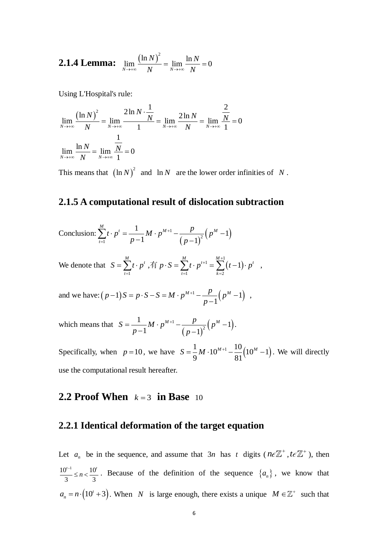<span id="page-6-0"></span>**2.1.4 Lemma:** 
$$
\lim_{N \to \infty} \frac{(\ln N)^2}{N} = \lim_{N \to \infty} \frac{\ln N}{N} = 0
$$

Using L'Hospital's rule:

Using L'Hospital's rule:  
\n
$$
\lim_{N \to +\infty} \frac{(\ln N)^2}{N} = \lim_{N \to +\infty} \frac{2 \ln N \cdot \frac{1}{N}}{1} = \lim_{N \to +\infty} \frac{2 \ln N}{N} = \lim_{N \to +\infty} \frac{\frac{2}{N}}{1} = 0
$$
\n
$$
\lim_{N \to +\infty} \frac{\ln N}{N} = \lim_{N \to +\infty} \frac{\frac{1}{N}}{1} = 0
$$

This means that  $(\ln N)^2$  and  $\ln N$  are the lower order infinities of N.

#### <span id="page-6-1"></span>**2.1.5 A computational result of dislocation subtraction**

Conclusion: 
$$
\sum_{t=1}^{M} t \cdot p^{t} = \frac{1}{p-1} M \cdot p^{M+1} - \frac{p}{(p-1)^{2}} (p^{M} - 1)
$$

We denote that  $=\sum_{t=1}^M t\cdot p^t$ *t*  $S = \sum t \cdot p^t$ , 有  $p \cdot S = \sum t \cdot p^{t+1} = \sum (t-1)$  $^{1}$   $\frac{M+1}{N}$  $\frac{1}{2}$   $\frac{1}{2}$   $\frac{1}{k=2}$ 1  $+1 - \frac{M+1}{M}$  $\cdot S = \sum_{t=1}^{M} t \cdot p^{t+1} = \sum_{k=2}^{M+1} (t-1) \cdot p^{t}$  $\sum_{t=1}^{\infty}$   $\sum_{k}$   $\sum_{k}$  $p \cdot S = \sum_{i=1}^{M} t \cdot p^{t+1} = \sum_{i=1}^{M+1} (t-1) \cdot p^t$ ,

and we have:  $(p-1)S = p \cdot S - S = M \cdot p^{M+1} - \frac{p}{q} (p^M - 1)$ 1)  $S = p \cdot S - S = M \cdot p^{M+1} - \frac{p}{p-1} (p^M - 1)$  $(p-1)S = p \cdot S - S = M \cdot p^{M+1} - \frac{p}{p-1} (p^M)$  $^{+}$  $(-1)S = p \cdot S - S = M \cdot p^{M+1} - \frac{p}{p-1} (p^M - 1)$ , ,

which means that  $(p-1)$  $1-\frac{p}{(p^M-1)^2}(p^M-1)$ 2  $\frac{1}{\sqrt{1-x}}M \cdot p^{M+1} - \frac{p}{\sqrt{1-x^2}}(p^M-1)$  $1^{n}$   $p-1$  $^{+}$  $=\frac{1}{p-1}M\cdot p^{M+1}-\frac{p}{(p-1)^2}(p^M-1).$  $S = \frac{1}{p-1} M \cdot p^{M+1} - \frac{p}{(p-1)^2} (p^M)$ .

Specifically, when  $p = 10$ , we have  $S = \frac{1}{9}M \cdot 10^{M+1} - \frac{10}{91}(10^M - 1)$  $\frac{1}{9}M \cdot 10^{M+1} - \frac{10}{81}$  $S = \frac{1}{0}M \cdot 10^{M+1} - \frac{10}{21}(10^M - 1)$ . We will directly use the computational result hereafter.

### <span id="page-6-2"></span>**2.2 Proof When**  $k=3$  in Base 10

#### <span id="page-6-3"></span>**2.2.1 Identical deformation of the target equation**

Let  $a_n$  be in the sequence, and assume that  $3n$  has t digits ( $n \in \mathbb{Z}^+$ ,  $t \in \mathbb{Z}^+$ ), then  $10^{t-1}$  10<sup>'</sup>  $3 \quad 3 \quad 3$  $\frac{1}{n} \le n < \frac{10^7}{2}$ . Because of the definition of the sequence  $\{a_n\}$ , we know that  $= n \cdot (10^t + 3)$  $a_n = n \cdot (10^t + 3)$ . When *N* is large enough, there exists a unique  $M \in \mathbb{Z}^+$  such that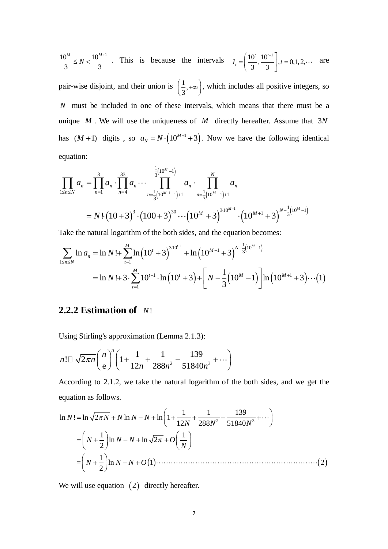$$
\frac{10^{M}}{3} \le N < \frac{10^{M+1}}{3} \quad \text{This is because the intervals} \quad J_{t} = \left(\frac{10^{t}}{3}, \frac{10^{t+1}}{3}\right], t = 0, 1, 2, \cdots \quad \text{are}
$$

pair-wise disjoint, and their union is  $\left(\frac{1}{2}\right)$  $\left(\frac{1}{3}, +\infty\right)$ , which includes all positive integers, so *N* must be included in one of these intervals, which means that there must be a unique  $M$ . We will use the uniqueness of  $M$  directly hereafter. Assume that  $3N$ equation:

has 
$$
(M + 1)
$$
 digits, so  $a_N = N \cdot (10^{M+1} + 3)$ . Now we have the following identical  
equation:  

$$
\prod_{1 \le n \le N} a_n = \prod_{n=1}^{3} a_n \cdot \prod_{n=4}^{33} a_n \cdot \cdots \prod_{n=\frac{1}{3}(10^{M-1})+1}^{\frac{1}{3}(10^M - 1)} a_n \cdot \prod_{n=\frac{1}{3}(10^M - 1)+1}^N a_n
$$

$$
= N \cdot \left(10 + 3\right)^3 \cdot \left(100 + 3\right)^{30} \cdots \left(10^M + 3\right)^{3 \cdot 10^{M-1}} \cdot \left(10^{M+1} + 3\right)^{N-\frac{1}{3}\left(10^M - 1\right)}
$$

$$
= N! \left(10+3\right)^3 \cdot \left(100+3\right)^{30} \cdots \left(10^M+3\right)^{3 \cdot 10^{M-1}} \cdot \left(10^{M+1}+3\right)^{N-\frac{1}{3}\left(10^M-1\right)}
$$
  
Take the natural logarithm of the both sides, and the equation becomes:  

$$
\sum_{1 \le n \le N} \ln a_n = \ln N! + \sum_{t=1}^{M} \ln \left(10^t+3\right)^{3 \cdot 10^{t-1}} + \ln \left(10^{M+1}+3\right)^{N-\frac{1}{3}\left(10^M-1\right)}
$$

$$
= \ln N! + 3 \cdot \sum_{t=1}^{M} 10^{t-1} \cdot \ln \left(10^t+3\right) + \left[N - \frac{1}{3}\left(10^M-1\right)\right] \ln \left(10^{M+1}+3\right) \cdots (1)
$$

#### <span id="page-7-0"></span>**2.2.2 Estimation of**  *N*!

Using Stirling's approximation (Lemma 2.1.3):  
\n
$$
n! \Box \sqrt{2\pi n} \left(\frac{n}{e}\right)^n \left(1 + \frac{1}{12n} + \frac{1}{288n^2} - \frac{139}{51840n^3} + \cdots \right)
$$

According to 2.1.2, we take the natural logarithm of the both sides, and we get the equation as follows.<br>  $\ln N! = \ln \sqrt{2\pi N} + N \ln N - N + \ln \left(1 + \frac{1}{12N} + \frac{1}{288N^2} - \frac{139}{51840N^3} + \cdots \right)$ equation as follows.

 2 3 12 288 51840 1 1 ln ln 2 2 1 = 1 2 ln 2 *N N N N N N N N N N N O N N N N O* 

We will use equation  $(2)$  directly hereafter.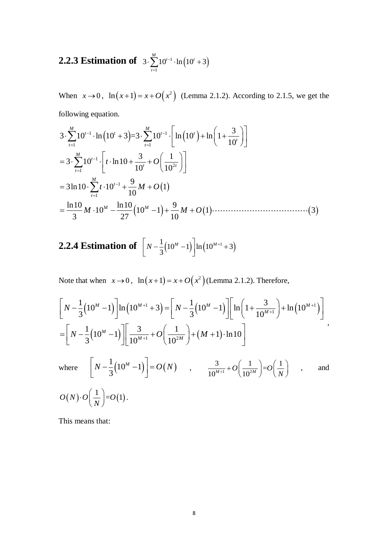#### <span id="page-8-0"></span>**2.2.3 Estimation of**  $3 \cdot \sum_{1}^{n} 10^{t-1} \cdot \ln(10^{t} + 3)$ 1  $3 \cdot \sum_{i=1}^{M} 10^{t-1} \cdot \ln(10^t + 3)$ *t*  $\overline{a}$  $\cdot \sum_{t=1}^{M} 10^{t-1} \cdot \ln(10^{t} + 3)$

When  $x \to 0$ ,  $\ln(x+1) = x + O(x^2)$  (Lemma 2.1.2). According to 2.1.5, we get the  $\left[\ln(10^t) + \ln\left(1 + \frac{3}{10^t}\right)\right]$ hen  $x \to 0$ ,  $\ln(x+1) = x + O(x^2)$  (Lemma<br>lowing equation.<br> $\sum_{t=1}^{M} 10^{t-1} \cdot \ln(10^t + 3) = 3 \cdot \sum_{t=1}^{M} 10^{t-1} \cdot \left[ \ln(10^t) + 1 \right]$ 

following equation. *M M* 1 1 1 1 1 2 1 1 1 3 3 10 ln 10 3 =3 10 ln 10 ln 1 10 3 1 3 10 ln10 10 10 9 3ln10 10 1 10 ln10 ln10 9 10 10 1 1 3 3 27 10 *t t t t t t t M t t t t M t t M M t O t M O M M O* 

<span id="page-8-1"></span>**2.2.4 Estimation of** 
$$
\left[N-\frac{1}{3}(10^M-1)\right]\ln(10^{M+1}+3)
$$

Note that when  $x \to 0$ ,  $\ln(x+1) = x + O(x^2)$  (Lemma 2.1.2). Therefore,

Note that when 
$$
x \to 0
$$
,  $\ln(x+1) = x + O(x^2)$  (Lemma 2.1.2). Therefore,  
\n
$$
\left[ N - \frac{1}{3} (10^M - 1) \right] \ln(10^{M+1} + 3) = \left[ N - \frac{1}{3} (10^M - 1) \right] \left[ \ln(1 + \frac{3}{10^{M+1}}) + \ln(10^{M+1}) \right]
$$
\n
$$
= \left[ N - \frac{1}{3} (10^M - 1) \right] \left[ \frac{3}{10^{M+1}} + O\left(\frac{1}{10^{2M}}\right) + (M+1) \cdot \ln 10 \right]
$$
\nwhere\n
$$
\left[ N - \frac{1}{3} (10^M - 1) \right] = O(N) \quad , \quad \frac{3}{10^{M+1}} + O\left(\frac{1}{10^{2M}}\right) = O\left(\frac{1}{N}\right) \quad , \quad \text{and}
$$
\n
$$
O(N) \cdot O\left(\frac{1}{N}\right) = O(1).
$$

This means that: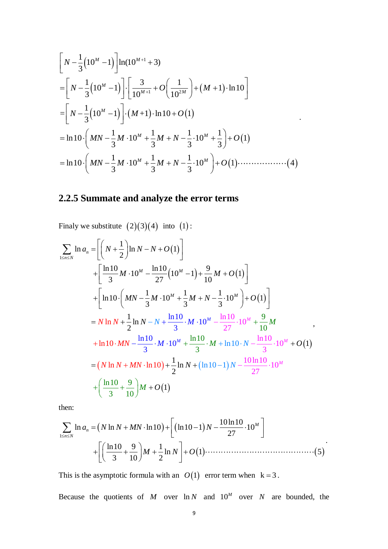$$
\begin{aligned}\n&\left[N - \frac{1}{3}(10^M - 1)\right] \ln(10^{M+1} + 3) \\
&= \left[N - \frac{1}{3}(10^M - 1)\right] \cdot \left[\frac{3}{10^{M+1}} + O\left(\frac{1}{10^{2M}}\right) + (M+1) \cdot \ln 10\right] \\
&= \left[N - \frac{1}{3}(10^M - 1)\right] \cdot (M+1) \cdot \ln 10 + O(1) \\
&= \ln 10 \cdot \left(MN - \frac{1}{3}M \cdot 10^M + \frac{1}{3}M + N - \frac{1}{3} \cdot 10^M + \frac{1}{3}\right) + O(1) \\
&= \ln 10 \cdot \left(MN - \frac{1}{3}M \cdot 10^M + \frac{1}{3}M + N - \frac{1}{3} \cdot 10^M\right) + O(1) \cdot \dots \cdot \cdot \cdot \cdot \cdot \cdot \cdot \cdot (4)\n\end{aligned}
$$

.

### <span id="page-9-0"></span>**2.2.5 Summate and analyze the error terms**

Finally we substitute (2)(3)(4) into (1):  
\n
$$
\sum_{1 \le n \le N} \ln a_n = \left[ \left( N + \frac{1}{2} \right) \ln N - N + O(1) \right]
$$
\n
$$
+ \left[ \frac{\ln 10}{3} M \cdot 10^M - \frac{\ln 10}{27} \left( 10^M - 1 \right) + \frac{9}{10} M + O(1) \right]
$$
\n
$$
+ \left[ \ln 10 \cdot \left( M - \frac{1}{3} M \cdot 10^M + \frac{1}{3} M + N - \frac{1}{3} \cdot 10^M \right) + O(1) \right]
$$
\n
$$
= N \ln N + \frac{1}{2} \ln N - N + \frac{\ln 10}{3} \cdot M \cdot 10^M - \frac{\ln 10}{27} \cdot 10^M + \frac{9}{10} M
$$
\n
$$
+ \ln 10 \cdot M - \frac{\ln 10}{3} \cdot M \cdot 10^M + \frac{\ln 10}{3} \cdot M + \ln 10 \cdot N - \frac{\ln 10}{3} \cdot 10^M + O(1)
$$
\n
$$
= (N \ln N + MN \cdot \ln 10) + \frac{1}{2} \ln N + (\ln 10 - 1) N - \frac{10 \ln 10}{27} \cdot 10^M
$$
\n
$$
+ \left( \frac{\ln 10}{3} + \frac{9}{10} \right) M + O(1)
$$

then:

then:  
\n
$$
\sum_{1 \le n \le N} \ln a_n = (N \ln N + MN \cdot \ln 10) + \left[ (\ln 10 - 1) N - \frac{10 \ln 10}{27} \cdot 10^M \right] + \left[ \left( \frac{\ln 10}{3} + \frac{9}{10} \right) M + \frac{1}{2} \ln N \right] + O(1) \cdots \cdots \cdots \cdots (5)
$$

This is the asymptotic formula with an  $O(1)$  error term when  $k = 3$ .

Because the quotients of M over  $\ln N$  and  $10^M$  over N are bounded, the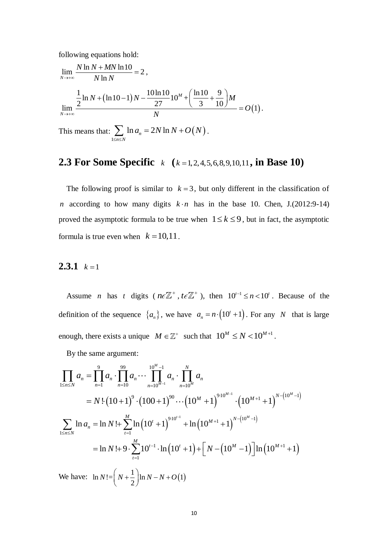following equations hold:

$$
\lim_{N \to +\infty} \frac{N \ln N + MN \ln 10}{N \ln N} = 2,
$$
\n
$$
\lim_{N \to +\infty} \frac{\frac{1}{2} \ln N + (\ln 10 - 1)N - \frac{10 \ln 10}{27} 10^M + \left(\frac{\ln 10}{3} + \frac{9}{10}\right)M}{N} = O(1).
$$

This means that:  $\sum \ln a_n = 2N \ln N + O(N)$ 1  $\sum_{n\leq N}$  ln  $a_n = 2N$  ln  $a_n = 2N \ln N + O(N)$  $\sum_{\leq n \leq N}$  $\sum$  ln  $a_n = 2N \ln N + O(N)$ .

### <span id="page-10-0"></span>**2.3 For Some Specific**  $k \left( k = 1, 2, 4, 5, 6, 8, 9, 10, 11 \right)$ , in Base 10)

The following proof is similar to  $k = 3$ , but only different in the classification of *n* according to how many digits  $k \cdot n$  has in the base 10. Chen, J.(2012:9-14) proved the asymptotic formula to be true when  $1 \le k \le 9$ , but in fact, the asymptotic formula is true even when  $k = 10,11$ .

#### <span id="page-10-1"></span>**2.3.1**  $k=1$

Assume *n* has *t* digits ( $n \in \mathbb{Z}^+$ ,  $t \in \mathbb{Z}^+$ ), then  $10^{t-1} \le n < 10^t$ . Because of the definition of the sequence  $\{a_n\}$ , we have  $a_n = n \cdot (10^t + 1)$  $a_n = n \cdot (10^t + 1)$ . For any *N* that is large

enough, there exists a unique 
$$
M \in \mathbb{Z}^+
$$
 such that  $10^M \le N < 10^{M+1}$ .  
\nBy the same argument:  
\n
$$
\prod_{1 \le n \le N} a_n = \prod_{n=1}^9 a_n \cdot \prod_{n=10}^{99} a_n \cdots \prod_{n=10^{M-1}}^{10^{M}-1} a_n \cdot \prod_{n=10^M}^N a_n
$$
\n
$$
= N! (10+1)^9 \cdot (100+1)^{90} \cdots (10^M+1)^{9 \cdot 10^{M-1}} \cdot (10^{M+1}+1)^{N-(10^M-1)}
$$
\n
$$
\sum_{1 \le n \le N} \ln a_n = \ln N! + \sum_{i=1}^M \ln (10^i+1)^{9 \cdot 10^{i-1}} + \ln (10^{M+1}+1)^{N-(10^M-1)}
$$
\n
$$
= \ln N! + 9 \cdot \sum_{i=1}^M 10^{i-1} \cdot \ln (10^i+1) + \left[ N - (10^M-1) \right] \ln (10^{M+1}+1)
$$
\nWe have:  $\ln N! = \left( N + \frac{1}{2} \right) \ln N - N + O(1)$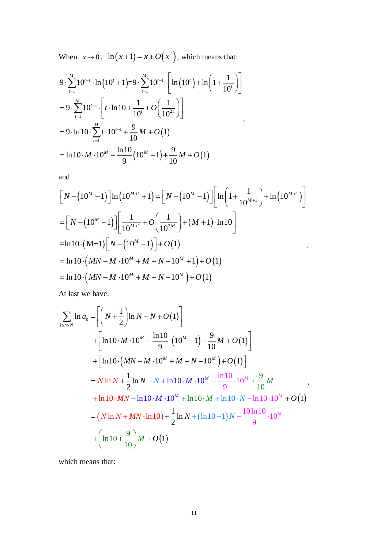When  $x \to 0$ ,  $\ln(x+1) = x + O(x^2)$ , which means that:

When 
$$
x \to 0
$$
,  $\ln(x+1) = x + O(x^2)$ , which means that:  
\n
$$
9 \cdot \sum_{t=1}^{M} 10^{t-1} \cdot \ln(10^t + 1) = 9 \cdot \sum_{t=1}^{M} 10^{t-1} \cdot \left[ \ln(10^t) + \ln\left(1 + \frac{1}{10^t}\right) \right]
$$
\n
$$
= 9 \cdot \sum_{t=1}^{M} 10^{t-1} \cdot \left[ t \cdot \ln 10 + \frac{1}{10^t} + O\left(\frac{1}{10^{2t}}\right) \right]
$$
\n
$$
= 9 \cdot \ln 10 \cdot \sum_{t=1}^{M} t \cdot 10^{t-1} + \frac{9}{10}M + O(1)
$$
\n
$$
= \ln 10 \cdot M \cdot 10^M - \frac{\ln 10}{9} \left(10^M - 1\right) + \frac{9}{10}M + O(1)
$$

and

and  
\n
$$
\left[N - (10^M - 1)\right] \ln\left(10^{M+1} + 1\right) = \left[N - (10^M - 1)\right] \left[\ln\left(1 + \frac{1}{10^{M+1}}\right) + \ln\left(10^{M+1}\right)\right]
$$
\n
$$
= \left[N - (10^M - 1)\right] \left[\frac{1}{10^{M+1}} + O\left(\frac{1}{10^{2M}}\right) + (M+1) \cdot \ln 10\right]
$$
\n
$$
= \ln 10 \cdot \left(\frac{M+1}{N}\right) \left[N - (10^M - 1)\right] + O(1)
$$
\n
$$
= \ln 10 \cdot \left(\frac{MN - M \cdot 10^M + M + N - 10^M + 1}{M+10^{M}}\right) + O(1)
$$
\n
$$
= \ln 10 \cdot \left(\frac{MN - M \cdot 10^M + M + N - 10^M}{M+10^{M}}\right) + O(1)
$$

At last we have:

At last we have:  
\n
$$
\sum_{1 \le n \le N} \ln a_n = \left[ \left( N + \frac{1}{2} \right) \ln N - N + O(1) \right]
$$
\n
$$
+ \left[ \ln 10 \cdot M \cdot 10^M - \frac{\ln 10}{9} \cdot (10^M - 1) + \frac{9}{10} M + O(1) \right]
$$
\n
$$
+ \left[ \ln 10 \cdot (MN - M \cdot 10^M + M + N - 10^M) + O(1) \right]
$$
\n
$$
= N \ln N + \frac{1}{2} \ln N - N + \ln 10 \cdot M \cdot 10^M - \frac{\ln 10}{9} \cdot 10^M + \frac{9}{10} M
$$
\n
$$
+ \ln 10 \cdot MN - \ln 10 \cdot M \cdot 10^M + \ln 10 \cdot N + \ln 10 \cdot N - \ln 10 \cdot 10^M + O(1)
$$
\n
$$
= (N \ln N + MN \cdot \ln 10) + \frac{1}{2} \ln N + (\ln 10 - 1) N - \frac{10 \ln 10}{9} \cdot 10^M
$$
\n
$$
+ \left( \ln 10 + \frac{9}{10} \right) M + O(1)
$$

which means that: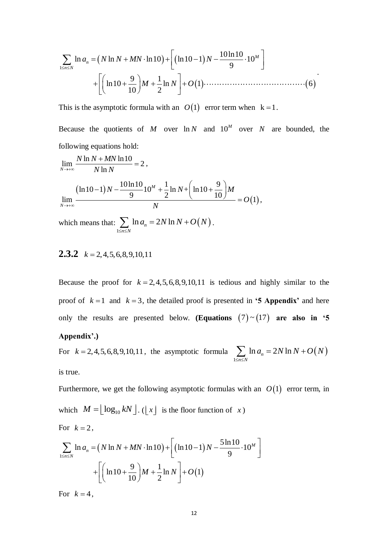$$
\sum_{1 \le n \le N} \ln a_n = (N \ln N + MN \cdot \ln 10) + \left[ (\ln 10 - 1) N - \frac{10 \ln 10}{9} \cdot 10^M \right] + \left[ \left( \ln 10 + \frac{9}{10} \right) M + \frac{1}{2} \ln N \right] + O(1) \cdots \cdots \cdots \cdots \cdots \cdots \cdots (6)
$$

This is the asymptotic formula with an  $O(1)$  error term when  $k=1$ .

Because the quotients of  $M$  over  $\ln N$  and  $10^M$  over  $N$  are bounded, the following equations hold:

$$
\sum_{1 \text{SUSN}} \ln a_n = (N \ln N + MN \cdot \ln 10) + [( \ln 10 - 1)N - \frac{6 \ln 10}{9} \cdot 10^M ]
$$
  
+ 
$$
\left[ (\ln 10 + \frac{9}{10})M + \frac{1}{2} \ln N \right] + O(1) \dots
$$
  
This is the asymptotic formula with an  $O(1)$  error term when k  
Because the quotients of M over  $\ln N$  and  $10^M$  over N  
following equations hold:  

$$
\lim_{N \to +\infty} \frac{N \ln N + MN \ln 10}{N \ln N} = 2,
$$

$$
\frac{(\ln 10 - 1)N - \frac{10 \ln 10}{9} 10^M + \frac{1}{2} \ln N + (\ln 10 + \frac{9}{10})M}{N} = O(1),
$$
which means that: 
$$
\sum_{1 \text{SUSN}} \ln a_n = 2N \ln N + O(N).
$$
  
**2.3.2**  $k = 2, 4, 5, 6, 8, 9, 10, 11$   
Because the proof for  $k = 2, 4, 5, 6, 8, 9, 10, 11$  is tedious and h  
proof of  $k = 1$  and  $k = 3$ , the detailed proof is presented in '5  
only the results are presented below. (**Equations** (7) ~ (1'  
**Appendix**.)  
For  $k = 2, 4, 5, 6, 8, 9, 10, 11$ , the asymptotic formula 
$$
\sum_{1 \text{SUSN}} \ln a_n
$$
is true.  
Furthermore, we get the following asymptotic formulas with an  
which  $M = \lfloor \log_{10} kN \rfloor$ . ( $\lfloor x \rfloor$  is the floor function of x)  
For  $k = 2$ ,  

$$
\sum_{1 \text{SUSN}} \ln a_n = (N \ln N + MN \cdot \ln 10) + \left[ (\ln 10 - 1)N - \frac{5 \ln 10}{9} \cdot 10^M \right]
$$

$$
+ \left[ (\ln 10 + \frac{9}{10})M + \frac{1}{2} \ln N \right] + O(1)
$$
  
For  $k = 4$ ,  

$$
\frac{12}{\
$$

#### <span id="page-12-0"></span>**2.3.2**  $k = 2, 4, 5, 6, 8, 9, 10, 11$

Because the proof for  $k = 2, 4, 5, 6, 8, 9, 10, 11$  is tedious and highly similar to the proof of  $k = 1$  and  $k = 3$ , the detailed proof is presented in **'5 Appendix'** and here only the results are presented below. (Equations  $(7) \sim (17)$  are also in '5

#### **Appendix'.)**

For  $k = 2,4,5,6,8,9,10,11$ , the asymptotic formula  $\sum_{n=1}^{\infty} \ln a_n = 2N \ln N + O(N)$ 1  $\sum_{n \leq N} \ln a_n = 2N \ln \frac{1}{2}$  $a_n = 2N \ln N + O(N)$  $\sum_{n \leq N}$  $\sum \ln a_n = 2N \ln N + O\left($ is true.

Furthermore, we get the following asymptotic formulas with an  $O(1)$  error term, in which  $M = \lfloor \log_{10} kN \rfloor$ . ( $\lfloor x \rfloor$  is the floor function of x) For  $k=2$ ,  $\left[\left(\ln 10-1\right)N-\frac{5\ln 10}{2}\cdot10^{M}\right]$ 

For 
$$
k = 2
$$
,  
\n
$$
\sum_{1 \le n \le N} \ln a_n = (N \ln N + MN \cdot \ln 10) + \left[ (\ln 10 - 1) N - \frac{5 \ln 10}{9} \cdot 10^M \right] + \left[ \left( \ln 10 + \frac{9}{10} \right) M + \frac{1}{2} \ln N \right] + O(1)
$$

For  $k=4$ ,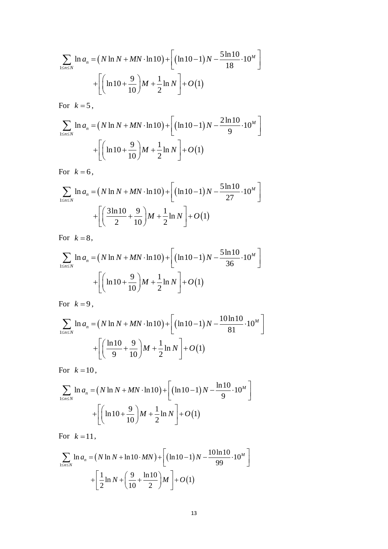$$
\sum_{1 \le n \le N} \ln a_n = (N \ln N + MN \cdot \ln 10) + \left[ (\ln 10 - 1) N - \frac{5 \ln 10}{18} \cdot 10^M \right] + \left[ \left( \ln 10 + \frac{9}{10} \right) M + \frac{1}{2} \ln N \right] + O(1)
$$

For  $k=5$ ,

$$
\sum_{1 \le n \le N} \ln a_n = (N \ln N + MN \cdot \ln 10) + \left[ (\ln 10 - 1) N - \frac{2 \ln 10}{9} \cdot 10^M \right] + \left[ \left( \ln 10 + \frac{9}{10} \right) M + \frac{1}{2} \ln N \right] + O(1)
$$

For  $k=6$ ,

$$
\sum_{1 \le n \le N} \ln a_n = (N \ln N + MN \cdot \ln 10) + \left[ (\ln 10 - 1) N - \frac{5 \ln 10}{27} \cdot 10^M \right] + \left[ \left( \frac{3 \ln 10}{2} + \frac{9}{10} \right) M + \frac{1}{2} \ln N \right] + O(1)
$$

For  $k=8$ ,

$$
\sum_{1 \le n \le N} \ln a_n = (N \ln N + MN \cdot \ln 10) + \left[ (\ln 10 - 1) N - \frac{5 \ln 10}{36} \cdot 10^M \right] + \left[ \left( \ln 10 + \frac{9}{10} \right) M + \frac{1}{2} \ln N \right] + O(1)
$$

For  $k=9$ ,

$$
\sum_{1 \le n \le N} \ln a_n = (N \ln N + MN \cdot \ln 10) + \left[ (\ln 10 - 1) N - \frac{10 \ln 10}{81} \cdot 10^M \right] + \left[ \left( \frac{\ln 10}{9} + \frac{9}{10} \right) M + \frac{1}{2} \ln N \right] + O(1)
$$

For  $k=10$ ,

$$
\sum_{1 \le n \le N} \ln a_n = (N \ln N + MN \cdot \ln 10) + \left[ (\ln 10 - 1) N - \frac{\ln 10}{9} \cdot 10^M \right] + \left[ \left( \ln 10 + \frac{9}{10} \right) M + \frac{1}{2} \ln N \right] + O(1)
$$

For  $k=11$ ,

$$
\sum_{1 \le n \le N} \ln a_n = (N \ln N + \ln 10 \cdot MN) + \left[ (\ln 10 - 1) N - \frac{10 \ln 10}{99} \cdot 10^M \right] + \left[ \frac{1}{2} \ln N + \left( \frac{9}{10} + \frac{\ln 10}{2} \right) M \right] + O(1)
$$